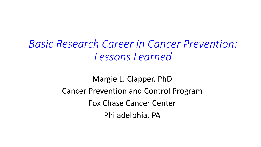*Basic Research Career in Cancer Prevention: Lessons Learned*

> Margie L. Clapper, PhD Cancer Prevention and Control Program Fox Chase Cancer Center Philadelphia, PA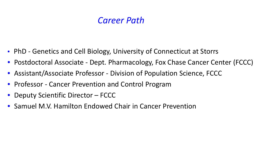### *Career Path*

- PhD Genetics and Cell Biology, University of Connecticut at Storrs
- Postdoctoral Associate Dept. Pharmacology, Fox Chase Cancer Center (FCCC)
- Assistant/Associate Professor Division of Population Science, FCCC
- Professor Cancer Prevention and Control Program
- Deputy Scientific Director FCCC
- Samuel M.V. Hamilton Endowed Chair in Cancer Prevention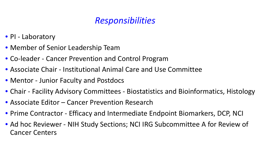# *Responsibilities*

- PI Laboratory
- Member of Senior Leadership Team
- Co-leader Cancer Prevention and Control Program
- Associate Chair Institutional Animal Care and Use Committee
- Mentor Junior Faculty and Postdocs
- Chair Facility Advisory Committees Biostatistics and Bioinformatics, Histology
- Associate Editor Cancer Prevention Research
- Prime Contractor Efficacy and Intermediate Endpoint Biomarkers, DCP, NCI
- Ad hoc Reviewer NIH Study Sections; NCI IRG Subcommittee A for Review of Cancer Centers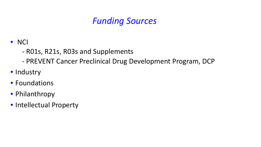## *Funding Sources*

#### • NCI

- R01s, R21s, R03s and Supplements
- PREVENT Cancer Preclinical Drug Development Program, DCP
- Industry
- Foundations
- Philanthropy
- Intellectual Property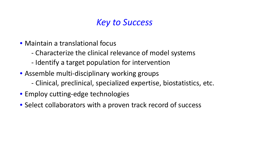## *Key to Success*

- Maintain a translational focus
	- Characterize the clinical relevance of model systems
	- Identify a target population for intervention
- Assemble multi-disciplinary working groups
	- Clinical, preclinical, specialized expertise, biostatistics, etc.
- Employ cutting-edge technologies
- Select collaborators with a proven track record of success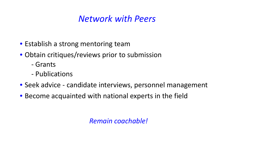# *Network with Peers*

- Establish a strong mentoring team
- Obtain critiques/reviews prior to submission
	- Grants
	- Publications
- Seek advice candidate interviews, personnel management
- Become acquainted with national experts in the field

*Remain coachable!*